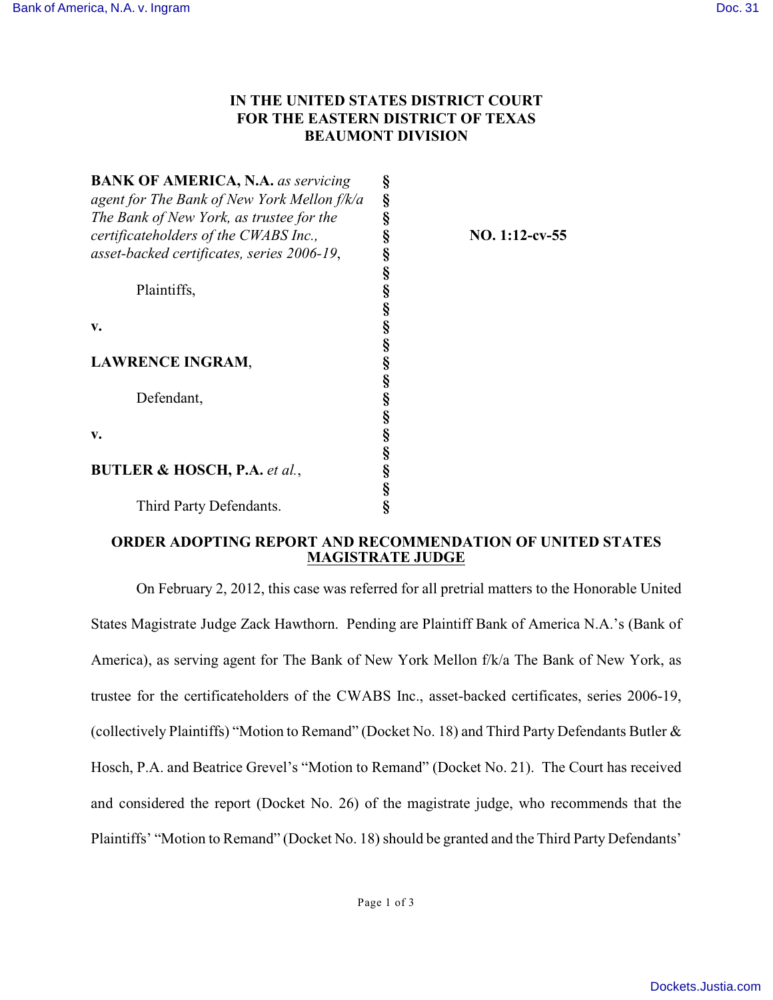## **IN THE UNITED STATES DISTRICT COURT FOR THE EASTERN DISTRICT OF TEXAS BEAUMONT DIVISION**

| <b>BANK OF AMERICA, N.A.</b> as servicing   | §                 |                   |
|---------------------------------------------|-------------------|-------------------|
| agent for The Bank of New York Mellon f/k/a | §                 |                   |
| The Bank of New York, as trustee for the    | §                 |                   |
| certificateholders of the CWABS Inc.,       | §                 | $NO. 1:12$ -cv-55 |
| asset-backed certificates, series 2006-19,  | §                 |                   |
|                                             |                   |                   |
| Plaintiffs,                                 | §<br>§            |                   |
|                                             |                   |                   |
| v.                                          | w w w w w w w w w |                   |
|                                             |                   |                   |
| <b>LAWRENCE INGRAM,</b>                     |                   |                   |
|                                             |                   |                   |
| Defendant,                                  |                   |                   |
|                                             |                   |                   |
| v.                                          |                   |                   |
|                                             |                   |                   |
| <b>BUTLER &amp; HOSCH, P.A.</b> et al.,     | §<br>§            |                   |
|                                             |                   |                   |
| Third Party Defendants.                     | Ş                 |                   |
|                                             |                   |                   |

## **ORDER ADOPTING REPORT AND RECOMMENDATION OF UNITED STATES MAGISTRATE JUDGE**

On February 2, 2012, this case was referred for all pretrial matters to the Honorable United States Magistrate Judge Zack Hawthorn. Pending are Plaintiff Bank of America N.A.'s (Bank of America), as serving agent for The Bank of New York Mellon f/k/a The Bank of New York, as trustee for the certificateholders of the CWABS Inc., asset-backed certificates, series 2006-19, (collectively Plaintiffs) "Motion to Remand" (Docket No. 18) and Third Party Defendants Butler & Hosch, P.A. and Beatrice Grevel's "Motion to Remand" (Docket No. 21). The Court has received and considered the report (Docket No. 26) of the magistrate judge, who recommends that the Plaintiffs' "Motion to Remand" (Docket No. 18) should be granted and the Third Party Defendants'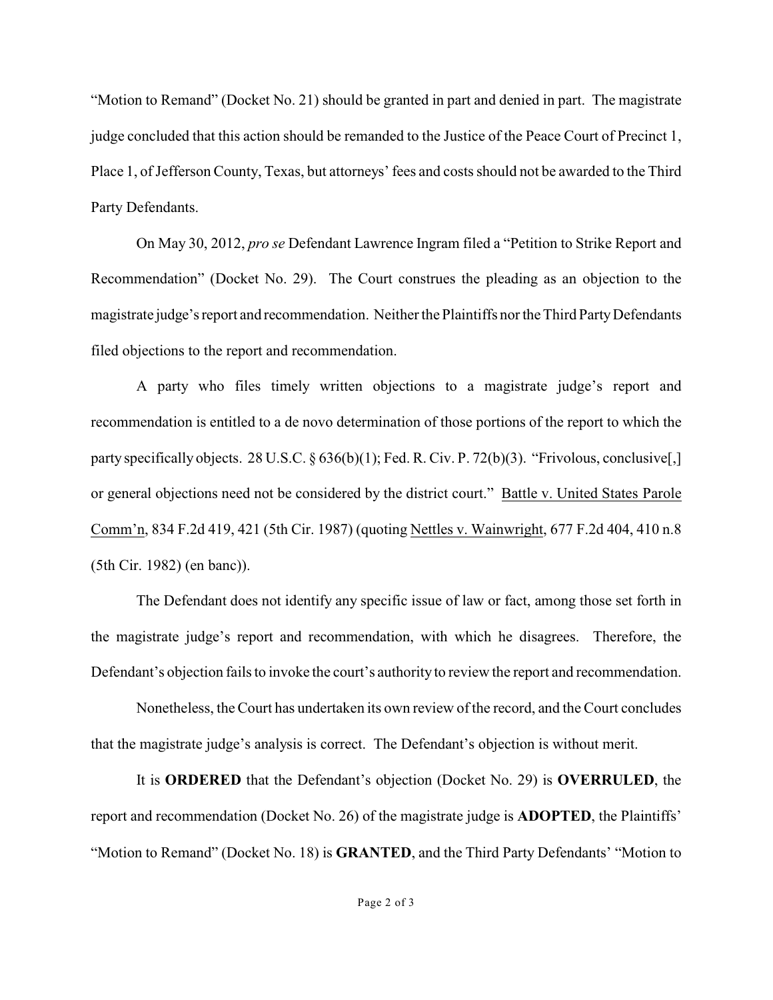"Motion to Remand" (Docket No. 21) should be granted in part and denied in part. The magistrate judge concluded that this action should be remanded to the Justice of the Peace Court of Precinct 1, Place 1, of Jefferson County, Texas, but attorneys' fees and costs should not be awarded to the Third Party Defendants.

On May 30, 2012, *pro se* Defendant Lawrence Ingram filed a "Petition to Strike Report and Recommendation" (Docket No. 29). The Court construes the pleading as an objection to the magistrate judge's report and recommendation. Neither the Plaintiffs nor the Third Party Defendants filed objections to the report and recommendation.

A party who files timely written objections to a magistrate judge's report and recommendation is entitled to a de novo determination of those portions of the report to which the party specifically objects. 28 U.S.C. § 636(b)(1); Fed. R. Civ. P. 72(b)(3). "Frivolous, conclusive[,] or general objections need not be considered by the district court." Battle v. United States Parole Comm'n, 834 F.2d 419, 421 (5th Cir. 1987) (quoting Nettles v. Wainwright, 677 F.2d 404, 410 n.8 (5th Cir. 1982) (en banc)).

The Defendant does not identify any specific issue of law or fact, among those set forth in the magistrate judge's report and recommendation, with which he disagrees. Therefore, the Defendant's objection fails to invoke the court's authority to review the report and recommendation.

Nonetheless, theCourt has undertaken its own review of the record, and the Court concludes that the magistrate judge's analysis is correct. The Defendant's objection is without merit.

It is **ORDERED** that the Defendant's objection (Docket No. 29) is **OVERRULED**, the report and recommendation (Docket No. 26) of the magistrate judge is **ADOPTED**, the Plaintiffs' "Motion to Remand" (Docket No. 18) is **GRANTED**, and the Third Party Defendants' "Motion to